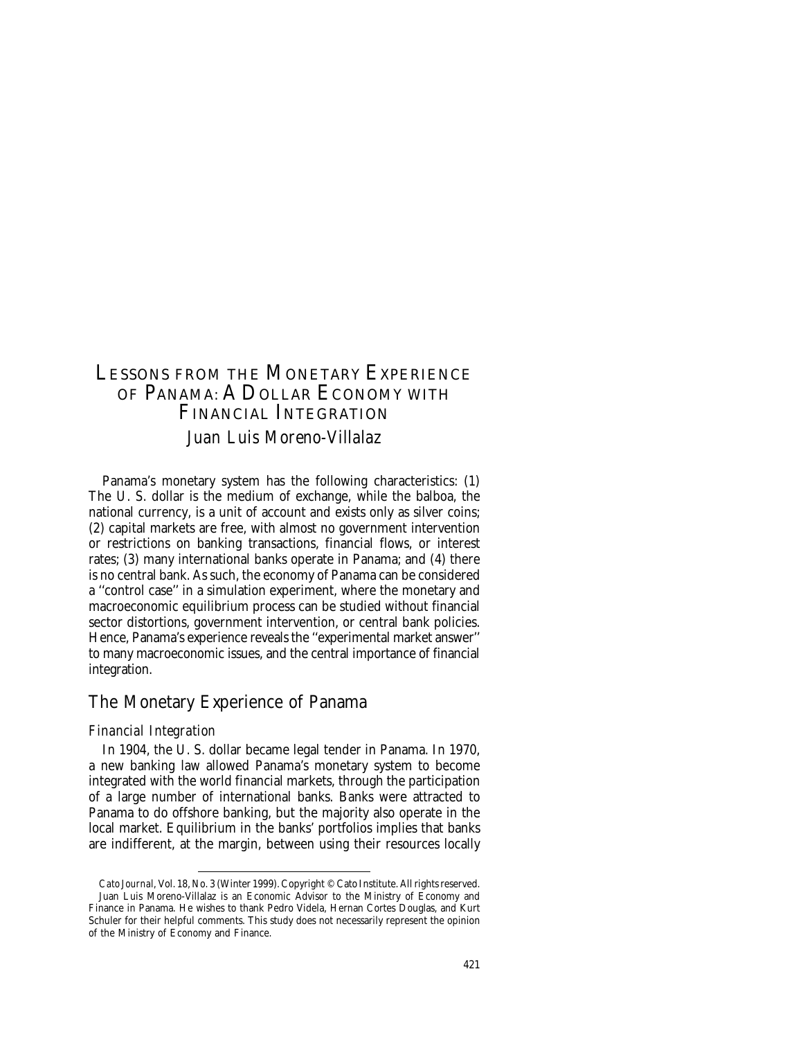# LESSONS FROM THE MONETARY EXPERIENCE OF PANAMA: A DOLLAR ECONOMY WITH FINANCIAL INTEGRATION *Juan Luis Moreno-Villalaz*

Panama's monetary system has the following characteristics: (1) The U. S. dollar is the medium of exchange, while the balboa, the national currency, is a unit of account and exists only as silver coins; (2) capital markets are free, with almost no government intervention or restrictions on banking transactions, financial flows, or interest rates; (3) many international banks operate in Panama; and (4) there is no central bank. As such, the economy of Panama can be considered a ''control case'' in a simulation experiment, where the monetary and macroeconomic equilibrium process can be studied without financial sector distortions, government intervention, or central bank policies. Hence, Panama's experience reveals the ''experimental market answer'' to many macroeconomic issues, and the central importance of financial integration.

## The Monetary Experience of Panama

#### *Financial Integration*

In 1904, the U. S. dollar became legal tender in Panama. In 1970, a new banking law allowed Panama's monetary system to become integrated with the world financial markets, through the participation of a large number of international banks. Banks were attracted to Panama to do offshore banking, but the majority also operate in the local market. Equilibrium in the banks' portfolios implies that banks are indifferent, at the margin, between using their resources locally

*Cato Journal*, Vol. 18, No. 3 (Winter 1999). Copyright © Cato Institute. All rights reserved. Juan Luis Moreno-Villalaz is an Economic Advisor to the Ministry of Economy and Juan Luis Moreno-Villalaz is an Economic Advisor to the Ministry of Economy and<br>Finance in Panama. He wishes to thank Pedro Videla, Hernan Cortes Douglas, and Kurt Schuler for their helpful comments. This study does not necessarily represent the opinion of the Ministry of Economy and Finance.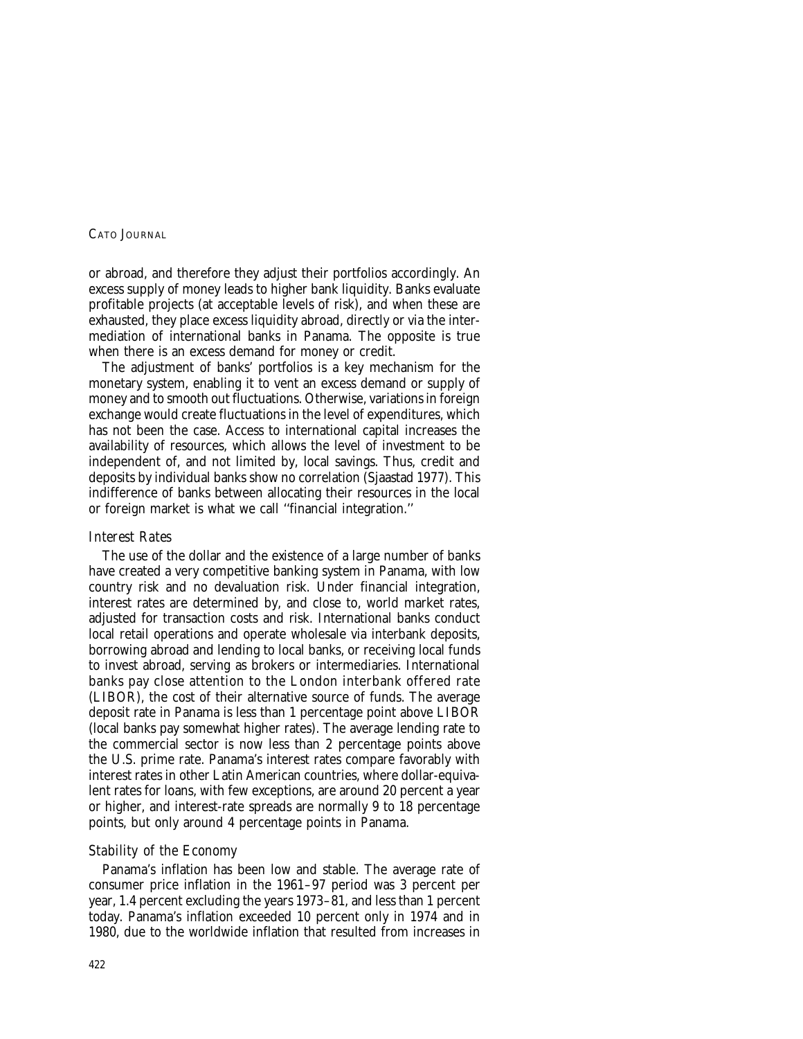or abroad, and therefore they adjust their portfolios accordingly. An excess supply of money leads to higher bank liquidity. Banks evaluate profitable projects (at acceptable levels of risk), and when these are exhausted, they place excess liquidity abroad, directly or via the intermediation of international banks in Panama. The opposite is true when there is an excess demand for money or credit.

The adjustment of banks' portfolios is a key mechanism for the monetary system, enabling it to vent an excess demand or supply of money and to smooth out fluctuations. Otherwise, variations in foreign exchange would create fluctuations in the level of expenditures, which has not been the case. Access to international capital increases the availability of resources, which allows the level of investment to be independent of, and not limited by, local savings. Thus, credit and deposits by individual banks show no correlation (Sjaastad 1977). This indifference of banks between allocating their resources in the local or foreign market is what we call ''financial integration.''

#### *Interest Rates*

The use of the dollar and the existence of a large number of banks have created a very competitive banking system in Panama, with low country risk and no devaluation risk. Under financial integration, interest rates are determined by, and close to, world market rates, adjusted for transaction costs and risk. International banks conduct local retail operations and operate wholesale via interbank deposits, borrowing abroad and lending to local banks, or receiving local funds to invest abroad, serving as brokers or intermediaries. International banks pay close attention to the London interbank offered rate (LIBOR), the cost of their alternative source of funds. The average deposit rate in Panama is less than 1 percentage point above LIBOR (local banks pay somewhat higher rates). The average lending rate to the commercial sector is now less than 2 percentage points above the U.S. prime rate. Panama's interest rates compare favorably with interest rates in other Latin American countries, where dollar-equivalent rates for loans, with few exceptions, are around 20 percent a year or higher, and interest-rate spreads are normally 9 to 18 percentage points, but only around 4 percentage points in Panama.

### *Stability of the Economy*

Panama's inflation has been low and stable. The average rate of consumer price inflation in the 1961–97 period was 3 percent per year, 1.4 percent excluding the years 1973–81, and less than 1 percent today. Panama's inflation exceeded 10 percent only in 1974 and in 1980, due to the worldwide inflation that resulted from increases in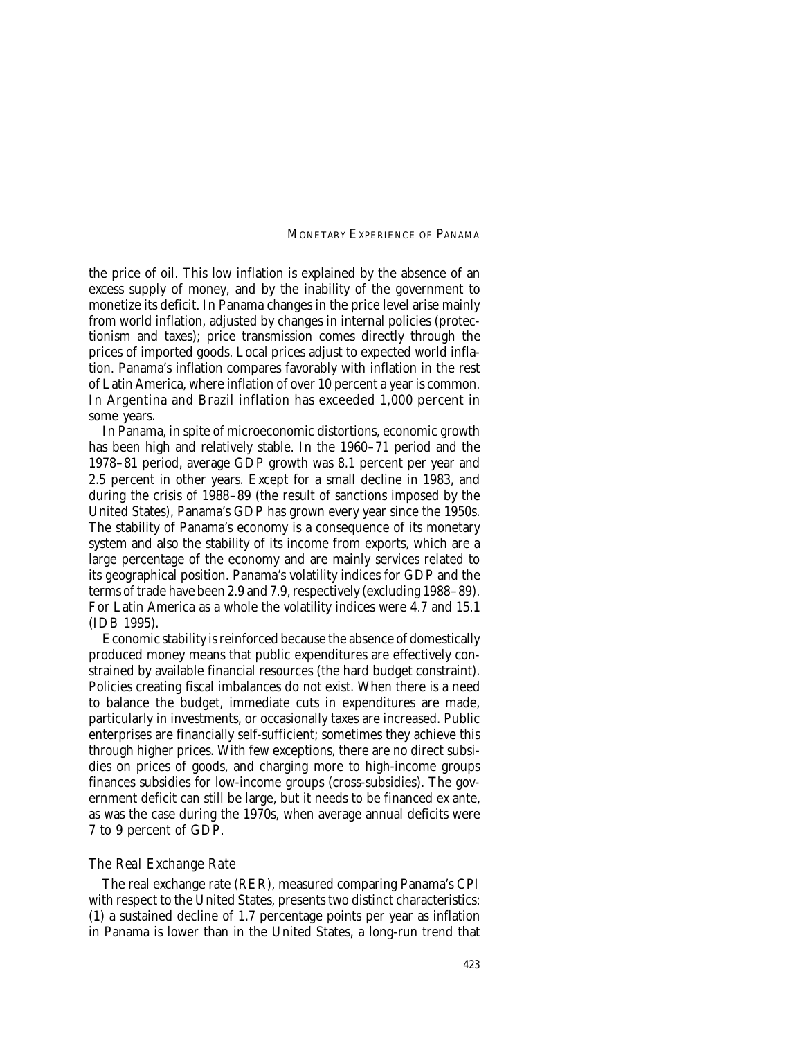the price of oil. This low inflation is explained by the absence of an excess supply of money, and by the inability of the government to monetize its deficit. In Panama changes in the price level arise mainly from world inflation, adjusted by changes in internal policies (protectionism and taxes); price transmission comes directly through the prices of imported goods. Local prices adjust to expected world inflation. Panama's inflation compares favorably with inflation in the rest of Latin America, where inflation of over 10 percent a year is common. In Argentina and Brazil inflation has exceeded 1,000 percent in some years.

In Panama, in spite of microeconomic distortions, economic growth has been high and relatively stable. In the 1960–71 period and the 1978–81 period, average GDP growth was 8.1 percent per year and 2.5 percent in other years. Except for a small decline in 1983, and during the crisis of 1988–89 (the result of sanctions imposed by the United States), Panama's GDP has grown every year since the 1950s. The stability of Panama's economy is a consequence of its monetary system and also the stability of its income from exports, which are a large percentage of the economy and are mainly services related to its geographical position. Panama's volatility indices for GDP and the terms of trade have been 2.9 and 7.9, respectively (excluding 1988–89). For Latin America as a whole the volatility indices were 4.7 and 15.1 (IDB 1995).

Economic stability is reinforced because the absence of domestically produced money means that public expenditures are effectively constrained by available financial resources (the hard budget constraint). Policies creating fiscal imbalances do not exist. When there is a need to balance the budget, immediate cuts in expenditures are made, particularly in investments, or occasionally taxes are increased. Public enterprises are financially self-sufficient; sometimes they achieve this through higher prices. With few exceptions, there are no direct subsidies on prices of goods, and charging more to high-income groups finances subsidies for low-income groups (cross-subsidies). The government deficit can still be large, but it needs to be financed ex ante, as was the case during the 1970s, when average annual deficits were 7 to 9 percent of GDP.

#### *The Real Exchange Rate*

The real exchange rate (RER), measured comparing Panama's CPI with respect to the United States, presents two distinct characteristics: (1) a sustained decline of 1.7 percentage points per year as inflation in Panama is lower than in the United States, a long-run trend that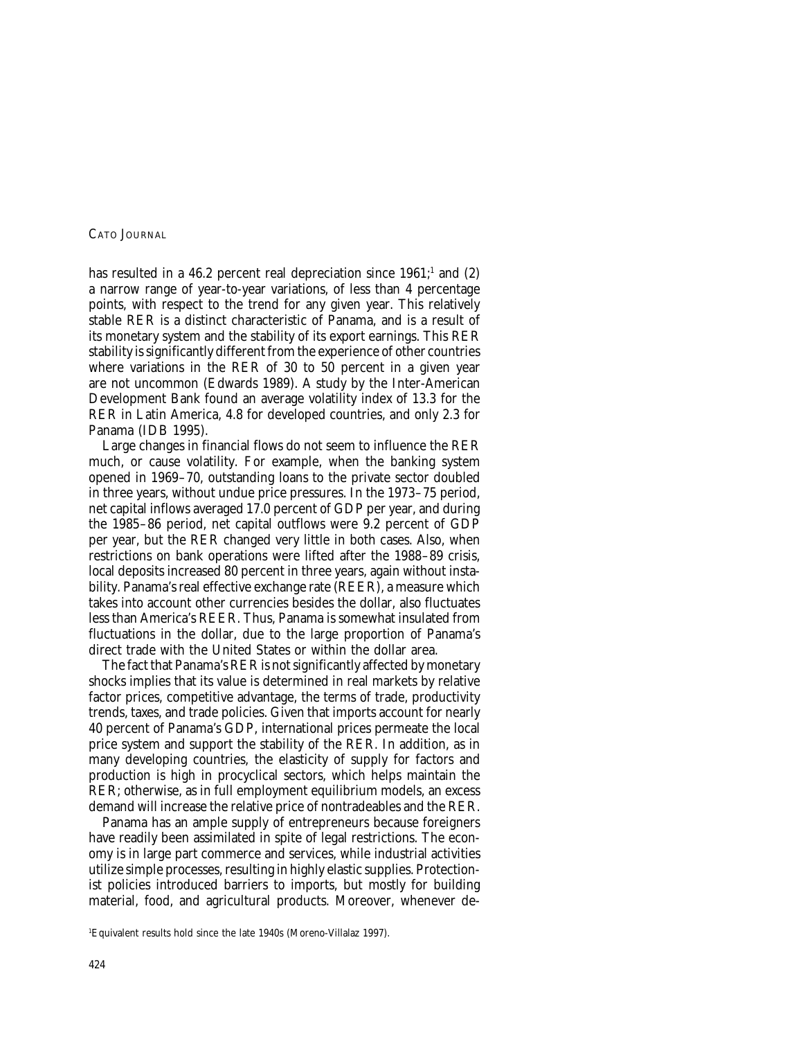has resulted in a 46.2 percent real depreciation since  $1961$ ; and (2) a narrow range of year-to-year variations, of less than 4 percentage points, with respect to the trend for any given year. This relatively stable RER is a distinct characteristic of Panama, and is a result of its monetary system and the stability of its export earnings. This RER stability is significantly different from the experience of other countries where variations in the RER of 30 to 50 percent in a given year are not uncommon (Edwards 1989). A study by the Inter-American Development Bank found an average volatility index of 13.3 for the RER in Latin America, 4.8 for developed countries, and only 2.3 for Panama (IDB 1995).

Large changes in financial flows do not seem to influence the RER much, or cause volatility. For example, when the banking system opened in 1969–70, outstanding loans to the private sector doubled in three years, without undue price pressures. In the 1973–75 period, net capital inflows averaged 17.0 percent of GDP per year, and during the 1985–86 period, net capital outflows were 9.2 percent of GDP per year, but the RER changed very little in both cases. Also, when restrictions on bank operations were lifted after the 1988–89 crisis, local deposits increased 80 percent in three years, again without instability. Panama's real effective exchange rate (REER), a measure which takes into account other currencies besides the dollar, also fluctuates less than America's REER. Thus, Panama is somewhat insulated from fluctuations in the dollar, due to the large proportion of Panama's direct trade with the United States or within the dollar area.

The fact that Panama's RER is not significantly affected by monetary shocks implies that its value is determined in real markets by relative factor prices, competitive advantage, the terms of trade, productivity trends, taxes, and trade policies. Given that imports account for nearly 40 percent of Panama's GDP, international prices permeate the local price system and support the stability of the RER. In addition, as in many developing countries, the elasticity of supply for factors and production is high in procyclical sectors, which helps maintain the RER; otherwise, as in full employment equilibrium models, an excess demand will increase the relative price of nontradeables and the RER.

Panama has an ample supply of entrepreneurs because foreigners have readily been assimilated in spite of legal restrictions. The economy is in large part commerce and services, while industrial activities utilize simple processes, resulting in highly elastic supplies. Protectionist policies introduced barriers to imports, but mostly for building material, food, and agricultural products. Moreover, whenever de-

<sup>1</sup> Equivalent results hold since the late 1940s (Moreno-Villalaz 1997).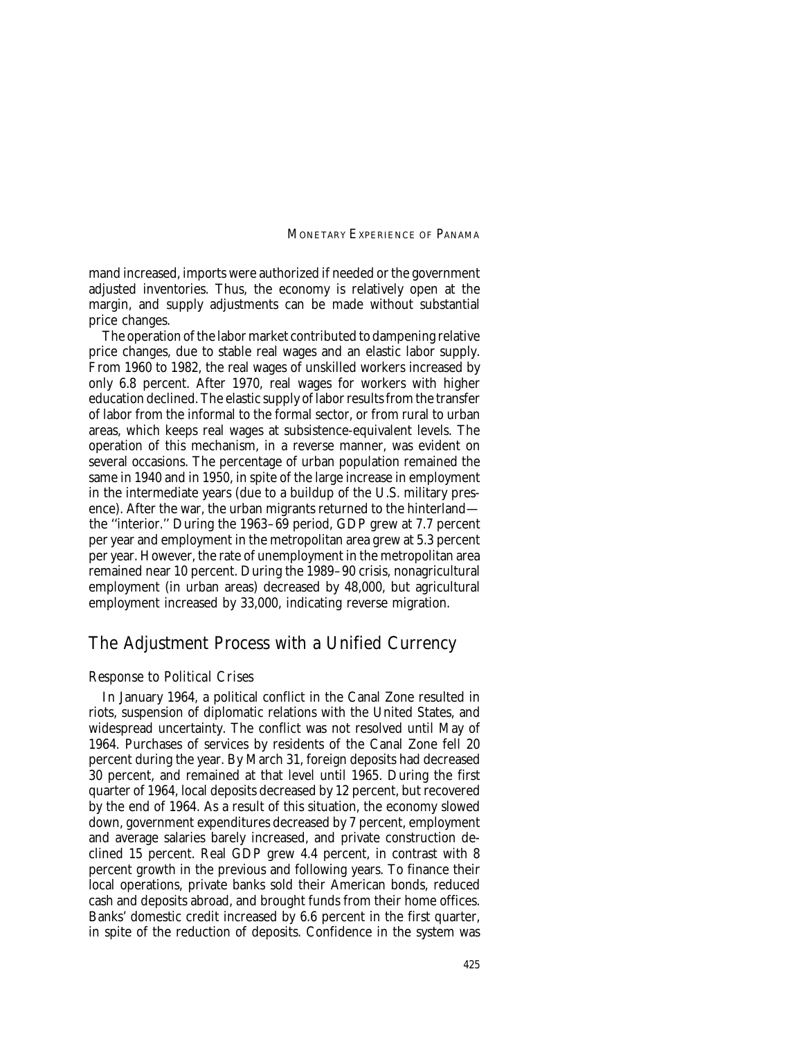mand increased, imports were authorized if needed or the government adjusted inventories. Thus, the economy is relatively open at the margin, and supply adjustments can be made without substantial price changes.

The operation of the labor market contributed to dampening relative price changes, due to stable real wages and an elastic labor supply. From 1960 to 1982, the real wages of unskilled workers increased by only 6.8 percent. After 1970, real wages for workers with higher education declined. The elastic supply of labor results from the transfer of labor from the informal to the formal sector, or from rural to urban areas, which keeps real wages at subsistence-equivalent levels. The operation of this mechanism, in a reverse manner, was evident on several occasions. The percentage of urban population remained the same in 1940 and in 1950, in spite of the large increase in employment in the intermediate years (due to a buildup of the U.S. military presence). After the war, the urban migrants returned to the hinterland the ''interior.'' During the 1963–69 period, GDP grew at 7.7 percent per year and employment in the metropolitan area grew at 5.3 percent per year. However, the rate of unemployment in the metropolitan area remained near 10 percent. During the 1989–90 crisis, nonagricultural employment (in urban areas) decreased by 48,000, but agricultural employment increased by 33,000, indicating reverse migration.

## The Adjustment Process with a Unified Currency

#### *Response to Political Crises*

In January 1964, a political conflict in the Canal Zone resulted in riots, suspension of diplomatic relations with the United States, and widespread uncertainty. The conflict was not resolved until May of 1964. Purchases of services by residents of the Canal Zone fell 20 percent during the year. By March 31, foreign deposits had decreased 30 percent, and remained at that level until 1965. During the first quarter of 1964, local deposits decreased by 12 percent, but recovered by the end of 1964. As a result of this situation, the economy slowed down, government expenditures decreased by 7 percent, employment and average salaries barely increased, and private construction declined 15 percent. Real GDP grew 4.4 percent, in contrast with 8 percent growth in the previous and following years. To finance their local operations, private banks sold their American bonds, reduced cash and deposits abroad, and brought funds from their home offices. Banks' domestic credit increased by 6.6 percent in the first quarter, in spite of the reduction of deposits. Confidence in the system was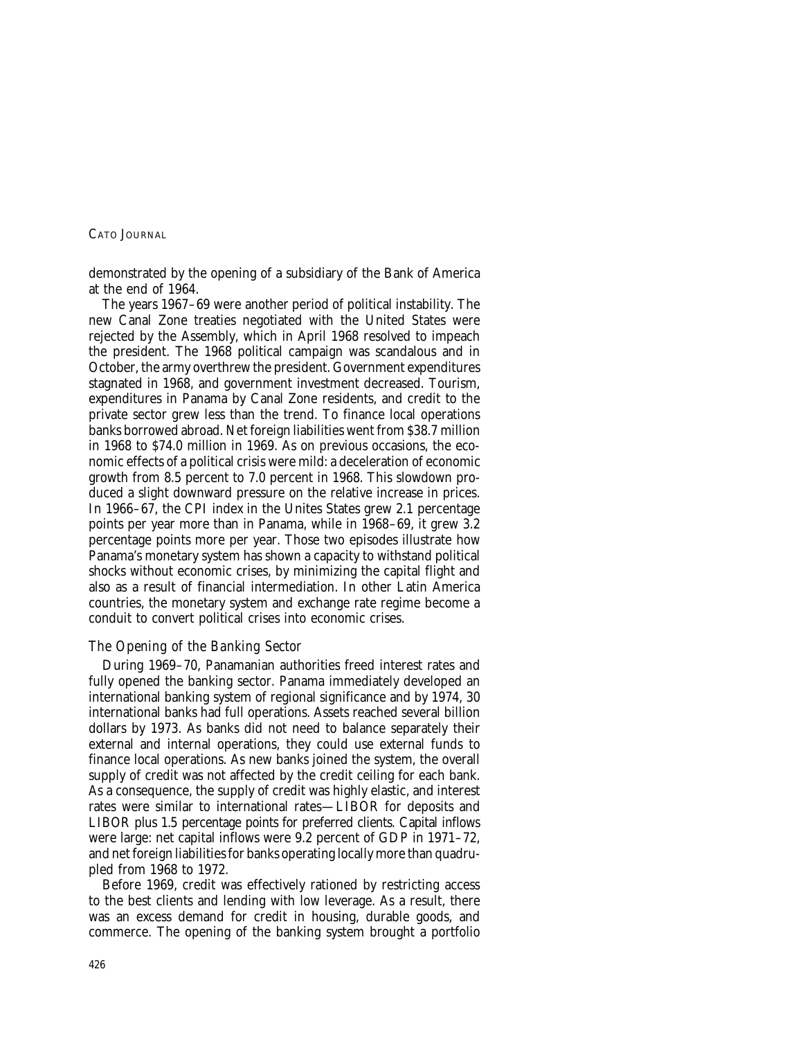demonstrated by the opening of a subsidiary of the Bank of America at the end of 1964.

The years 1967–69 were another period of political instability. The new Canal Zone treaties negotiated with the United States were rejected by the Assembly, which in April 1968 resolved to impeach the president. The 1968 political campaign was scandalous and in October, the army overthrew the president. Government expenditures stagnated in 1968, and government investment decreased. Tourism, expenditures in Panama by Canal Zone residents, and credit to the private sector grew less than the trend. To finance local operations banks borrowed abroad. Net foreign liabilities went from \$38.7 million in 1968 to \$74.0 million in 1969. As on previous occasions, the economic effects of a political crisis were mild: a deceleration of economic growth from 8.5 percent to 7.0 percent in 1968. This slowdown produced a slight downward pressure on the relative increase in prices. In 1966–67, the CPI index in the Unites States grew 2.1 percentage points per year more than in Panama, while in 1968–69, it grew 3.2 percentage points more per year. Those two episodes illustrate how Panama's monetary system has shown a capacity to withstand political shocks without economic crises, by minimizing the capital flight and also as a result of financial intermediation. In other Latin America countries, the monetary system and exchange rate regime become a conduit to convert political crises into economic crises.

## *The Opening of the Banking Sector*

During 1969–70, Panamanian authorities freed interest rates and fully opened the banking sector. Panama immediately developed an international banking system of regional significance and by 1974, 30 international banks had full operations. Assets reached several billion dollars by 1973. As banks did not need to balance separately their external and internal operations, they could use external funds to finance local operations. As new banks joined the system, the overall supply of credit was not affected by the credit ceiling for each bank. As a consequence, the supply of credit was highly elastic, and interest rates were similar to international rates—LIBOR for deposits and LIBOR plus 1.5 percentage points for preferred clients. Capital inflows were large: net capital inflows were 9.2 percent of GDP in 1971–72, and net foreign liabilities for banks operating locally more than quadrupled from 1968 to 1972.

Before 1969, credit was effectively rationed by restricting access to the best clients and lending with low leverage. As a result, there was an excess demand for credit in housing, durable goods, and commerce. The opening of the banking system brought a portfolio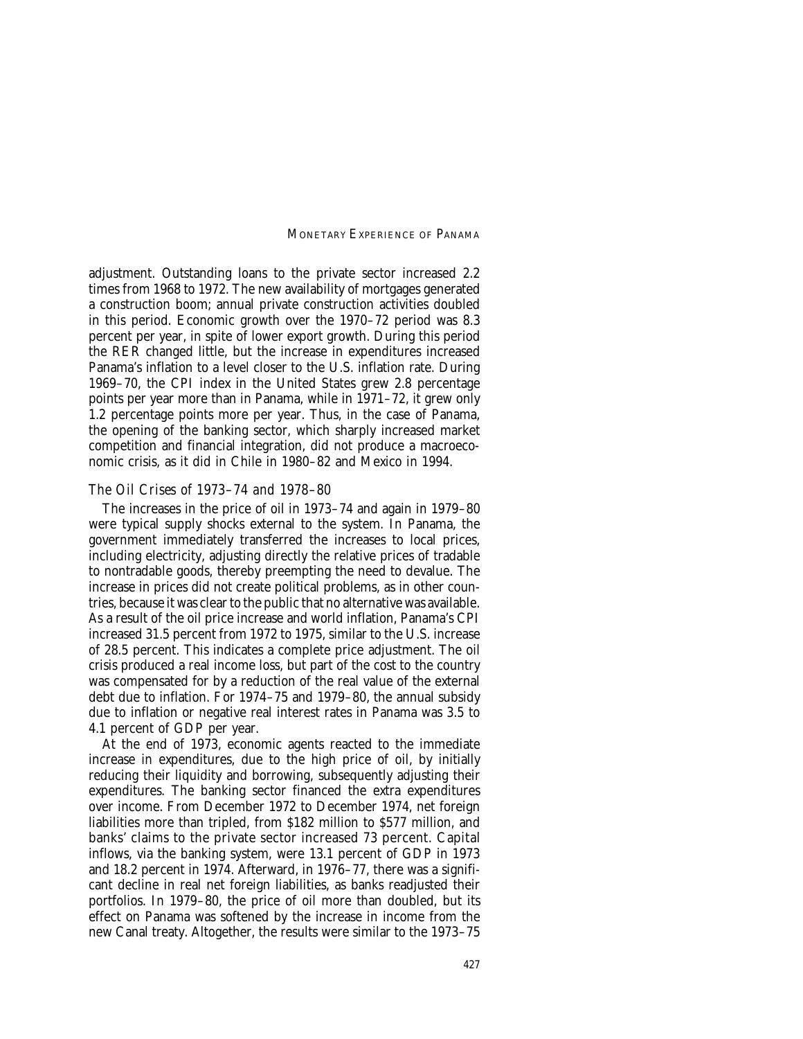adjustment. Outstanding loans to the private sector increased 2.2 times from 1968 to 1972. The new availability of mortgages generated a construction boom; annual private construction activities doubled in this period. Economic growth over the 1970–72 period was 8.3 percent per year, in spite of lower export growth. During this period the RER changed little, but the increase in expenditures increased Panama's inflation to a level closer to the U.S. inflation rate. During 1969–70, the CPI index in the United States grew 2.8 percentage points per year more than in Panama, while in 1971–72, it grew only 1.2 percentage points more per year. Thus, in the case of Panama, the opening of the banking sector, which sharply increased market competition and financial integration, did not produce a macroeconomic crisis, as it did in Chile in 1980–82 and Mexico in 1994.

#### *The Oil Crises of 1973–74 and 1978–80*

The increases in the price of oil in 1973–74 and again in 1979–80 were typical supply shocks external to the system. In Panama, the government immediately transferred the increases to local prices, including electricity, adjusting directly the relative prices of tradable to nontradable goods, thereby preempting the need to devalue. The increase in prices did not create political problems, as in other countries, because it was clear to the public that no alternative was available. As a result of the oil price increase and world inflation, Panama's CPI increased 31.5 percent from 1972 to 1975, similar to the U.S. increase of 28.5 percent. This indicates a complete price adjustment. The oil crisis produced a real income loss, but part of the cost to the country was compensated for by a reduction of the real value of the external debt due to inflation. For 1974–75 and 1979–80, the annual subsidy due to inflation or negative real interest rates in Panama was 3.5 to 4.1 percent of GDP per year.

At the end of 1973, economic agents reacted to the immediate increase in expenditures, due to the high price of oil, by initially reducing their liquidity and borrowing, subsequently adjusting their expenditures. The banking sector financed the extra expenditures over income. From December 1972 to December 1974, net foreign liabilities more than tripled, from \$182 million to \$577 million, and banks' claims to the private sector increased 73 percent. Capital inflows, via the banking system, were 13.1 percent of GDP in 1973 and 18.2 percent in 1974. Afterward, in 1976–77, there was a significant decline in real net foreign liabilities, as banks readjusted their portfolios. In 1979–80, the price of oil more than doubled, but its effect on Panama was softened by the increase in income from the new Canal treaty. Altogether, the results were similar to the 1973–75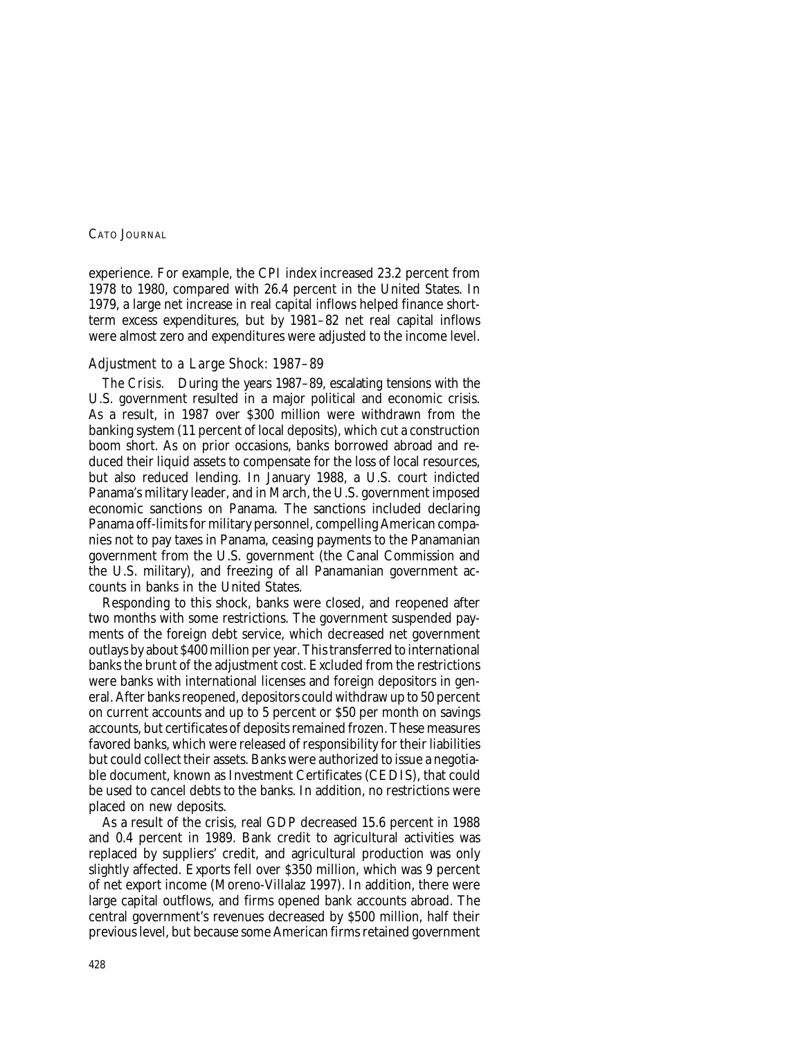experience. For example, the CPI index increased 23.2 percent from 1978 to 1980, compared with 26.4 percent in the United States. In 1979, a large net increase in real capital inflows helped finance shortterm excess expenditures, but by 1981–82 net real capital inflows were almost zero and expenditures were adjusted to the income level.

## *Adjustment to a Large Shock: 1987–89*

*The Crisis.* During the years 1987–89, escalating tensions with the U.S. government resulted in a major political and economic crisis. As a result, in 1987 over \$300 million were withdrawn from the banking system (11 percent of local deposits), which cut a construction boom short. As on prior occasions, banks borrowed abroad and reduced their liquid assets to compensate for the loss of local resources, but also reduced lending. In January 1988, a U.S. court indicted Panama's military leader, and in March, the U.S. government imposed economic sanctions on Panama. The sanctions included declaring Panama off-limits for military personnel, compelling American companies not to pay taxes in Panama, ceasing payments to the Panamanian government from the U.S. government (the Canal Commission and the U.S. military), and freezing of all Panamanian government accounts in banks in the United States.

Responding to this shock, banks were closed, and reopened after two months with some restrictions. The government suspended payments of the foreign debt service, which decreased net government outlays by about \$400 million per year. This transferred to international banks the brunt of the adjustment cost. Excluded from the restrictions were banks with international licenses and foreign depositors in general. After banks reopened, depositors could withdraw up to 50 percent on current accounts and up to 5 percent or \$50 per month on savings accounts, but certificates of deposits remained frozen. These measures favored banks, which were released of responsibility for their liabilities but could collect their assets. Banks were authorized to issue a negotiable document, known as Investment Certificates (CEDIS), that could be used to cancel debts to the banks. In addition, no restrictions were placed on new deposits.

As a result of the crisis, real GDP decreased 15.6 percent in 1988 and 0.4 percent in 1989. Bank credit to agricultural activities was replaced by suppliers' credit, and agricultural production was only slightly affected. Exports fell over \$350 million, which was 9 percent of net export income (Moreno-Villalaz 1997). In addition, there were large capital outflows, and firms opened bank accounts abroad. The central government's revenues decreased by \$500 million, half their previous level, but because some American firms retained government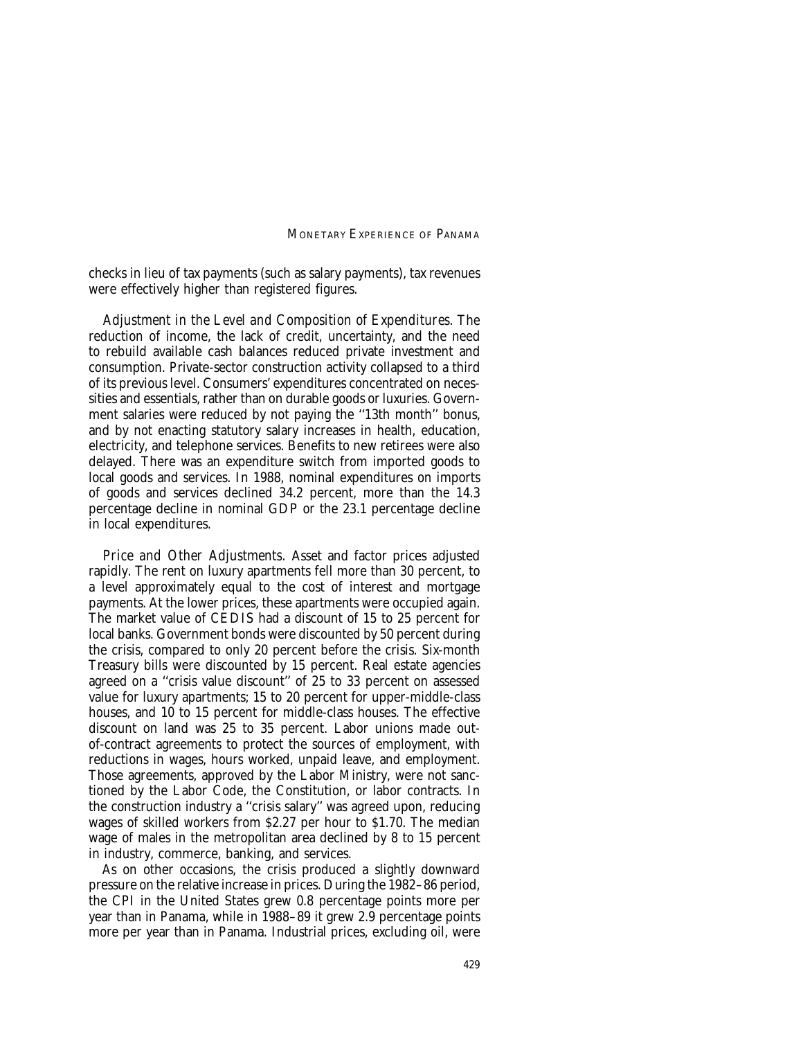checks in lieu of tax payments (such as salary payments), tax revenues were effectively higher than registered figures.

*Adjustment in the Level and Composition of Expenditures.* The reduction of income, the lack of credit, uncertainty, and the need to rebuild available cash balances reduced private investment and consumption. Private-sector construction activity collapsed to a third of its previous level. Consumers' expenditures concentrated on necessities and essentials, rather than on durable goods or luxuries. Government salaries were reduced by not paying the ''13th month'' bonus, and by not enacting statutory salary increases in health, education, electricity, and telephone services. Benefits to new retirees were also delayed. There was an expenditure switch from imported goods to local goods and services. In 1988, nominal expenditures on imports of goods and services declined 34.2 percent, more than the 14.3 percentage decline in nominal GDP or the 23.1 percentage decline in local expenditures.

*Price and Other Adjustments.* Asset and factor prices adjusted rapidly. The rent on luxury apartments fell more than 30 percent, to a level approximately equal to the cost of interest and mortgage payments. At the lower prices, these apartments were occupied again. The market value of CEDIS had a discount of 15 to 25 percent for local banks. Government bonds were discounted by 50 percent during the crisis, compared to only 20 percent before the crisis. Six-month Treasury bills were discounted by 15 percent. Real estate agencies agreed on a ''crisis value discount'' of 25 to 33 percent on assessed value for luxury apartments; 15 to 20 percent for upper-middle-class houses, and 10 to 15 percent for middle-class houses. The effective discount on land was 25 to 35 percent. Labor unions made outof-contract agreements to protect the sources of employment, with reductions in wages, hours worked, unpaid leave, and employment. Those agreements, approved by the Labor Ministry, were not sanctioned by the Labor Code, the Constitution, or labor contracts. In the construction industry a ''crisis salary'' was agreed upon, reducing wages of skilled workers from \$2.27 per hour to \$1.70. The median wage of males in the metropolitan area declined by 8 to 15 percent in industry, commerce, banking, and services.

As on other occasions, the crisis produced a slightly downward pressure on the relative increase in prices. During the 1982–86 period, the CPI in the United States grew 0.8 percentage points more per year than in Panama, while in 1988–89 it grew 2.9 percentage points more per year than in Panama. Industrial prices, excluding oil, were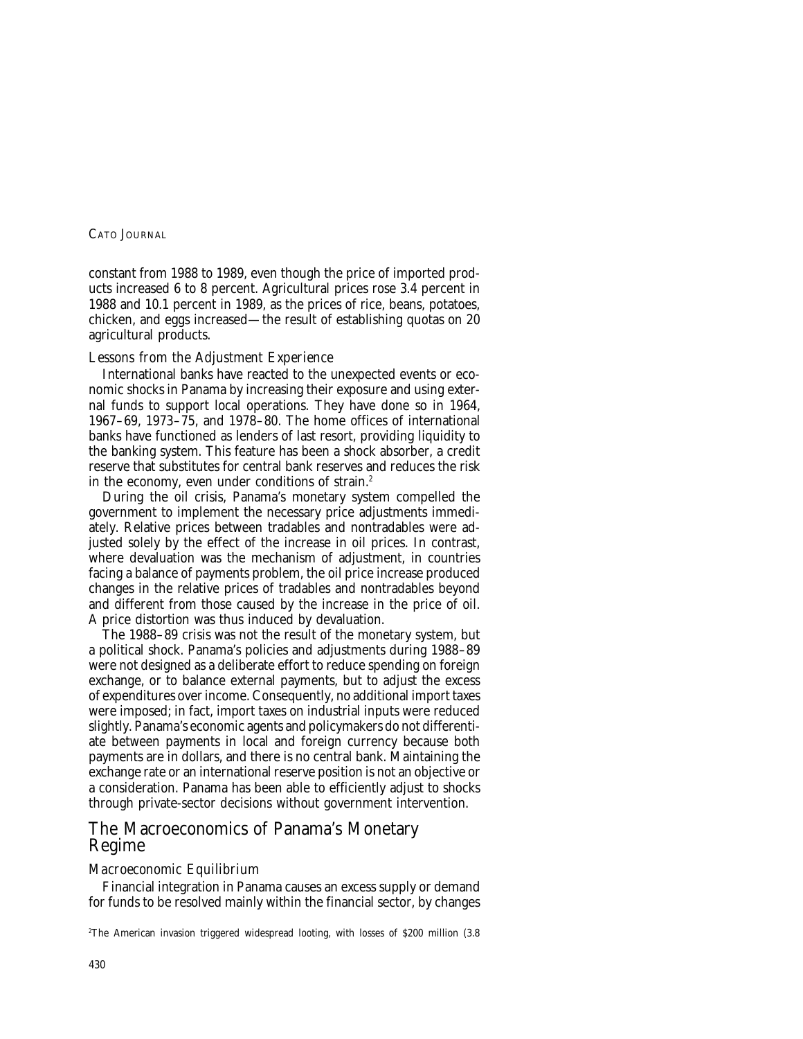constant from 1988 to 1989, even though the price of imported products increased 6 to 8 percent. Agricultural prices rose 3.4 percent in 1988 and 10.1 percent in 1989, as the prices of rice, beans, potatoes, chicken, and eggs increased—the result of establishing quotas on 20 agricultural products.

## *Lessons from the Adjustment Experience*

International banks have reacted to the unexpected events or economic shocks in Panama by increasing their exposure and using external funds to support local operations. They have done so in 1964, 1967–69, 1973–75, and 1978–80. The home offices of international banks have functioned as lenders of last resort, providing liquidity to the banking system. This feature has been a shock absorber, a credit reserve that substitutes for central bank reserves and reduces the risk in the economy, even under conditions of strain.<sup>2</sup>

During the oil crisis, Panama's monetary system compelled the government to implement the necessary price adjustments immediately. Relative prices between tradables and nontradables were adjusted solely by the effect of the increase in oil prices. In contrast, where devaluation was the mechanism of adjustment, in countries facing a balance of payments problem, the oil price increase produced changes in the relative prices of tradables and nontradables beyond and different from those caused by the increase in the price of oil. A price distortion was thus induced by devaluation.

The 1988–89 crisis was not the result of the monetary system, but a political shock. Panama's policies and adjustments during 1988–89 were not designed as a deliberate effort to reduce spending on foreign exchange, or to balance external payments, but to adjust the excess of expenditures over income. Consequently, no additional import taxes were imposed; in fact, import taxes on industrial inputs were reduced slightly. Panama's economic agents and policymakers do not differentiate between payments in local and foreign currency because both payments are in dollars, and there is no central bank. Maintaining the exchange rate or an international reserve position is not an objective or a consideration. Panama has been able to efficiently adjust to shocks through private-sector decisions without government intervention.

## The Macroeconomics of Panama's Monetary Regime

### *Macroeconomic Equilibrium*

Financial integration in Panama causes an excess supply or demand for funds to be resolved mainly within the financial sector, by changes

2 The American invasion triggered widespread looting, with losses of \$200 million (3.8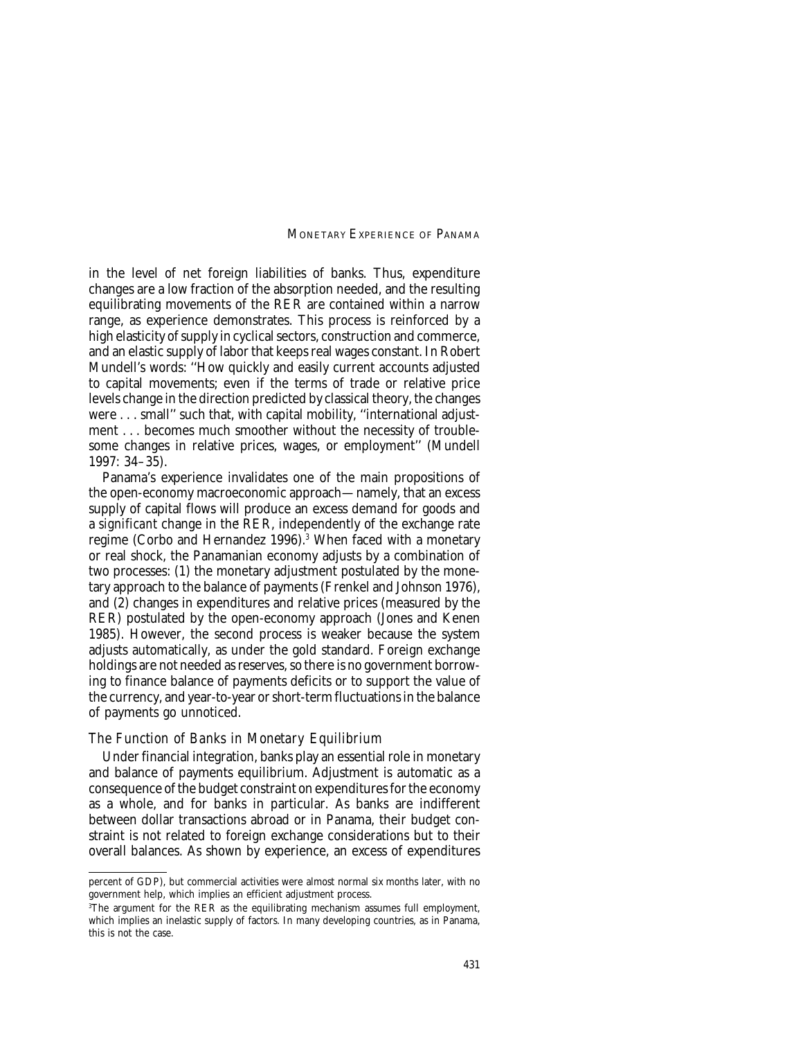in the level of net foreign liabilities of banks. Thus, expenditure changes are a low fraction of the absorption needed, and the resulting equilibrating movements of the RER are contained within a narrow range, as experience demonstrates. This process is reinforced by a high elasticity of supply in cyclical sectors, construction and commerce, and an elastic supply of labor that keeps real wages constant. In Robert Mundell's words: ''How quickly and easily current accounts adjusted to capital movements; even if the terms of trade or relative price levels change in the direction predicted by classical theory, the changes were . . . small'' such that, with capital mobility, ''international adjustment . . . becomes much smoother without the necessity of troublesome changes in relative prices, wages, or employment'' (Mundell 1997: 34–35).

Panama's experience invalidates one of the main propositions of the open-economy macroeconomic approach—namely, that an excess supply of capital flows will produce an excess demand for goods and a *significant* change in the RER, independently of the exchange rate a *signiticant* change in the RER, independently of the exchange rate<br>regime (Corbo and Hernandez 1996).<sup>3</sup> When faced with a monetary or real shock, the Panamanian economy adjusts by a combination of two processes: (1) the monetary adjustment postulated by the monetary approach to the balance of payments (Frenkel and Johnson 1976), and (2) changes in expenditures and relative prices (measured by the RER) postulated by the open-economy approach (Jones and Kenen 1985). However, the second process is weaker because the system adjusts automatically, as under the gold standard. Foreign exchange holdings are not needed as reserves, so there is no government borrowing to finance balance of payments deficits or to support the value of the currency, and year-to-year or short-term fluctuations in the balance of payments go unnoticed.

#### *The Function of Banks in Monetary Equilibrium*

Under financial integration, banks play an essential role in monetary and balance of payments equilibrium. Adjustment is automatic as a consequence of the budget constraint on expenditures for the economy as a whole, and for banks in particular. As banks are indifferent between dollar transactions abroad or in Panama, their budget constraint is not related to foreign exchange considerations but to their overall balances. As shown by experience, an excess of expenditures

percent of GDP), but commercial activities were almost normal six months later, with no government help, which implies an efficient adjustment process.

<sup>3</sup> The argument for the RER as the equilibrating mechanism assumes full employment, which implies an inelastic supply of factors. In many developing countries, as in Panama, this is not the case.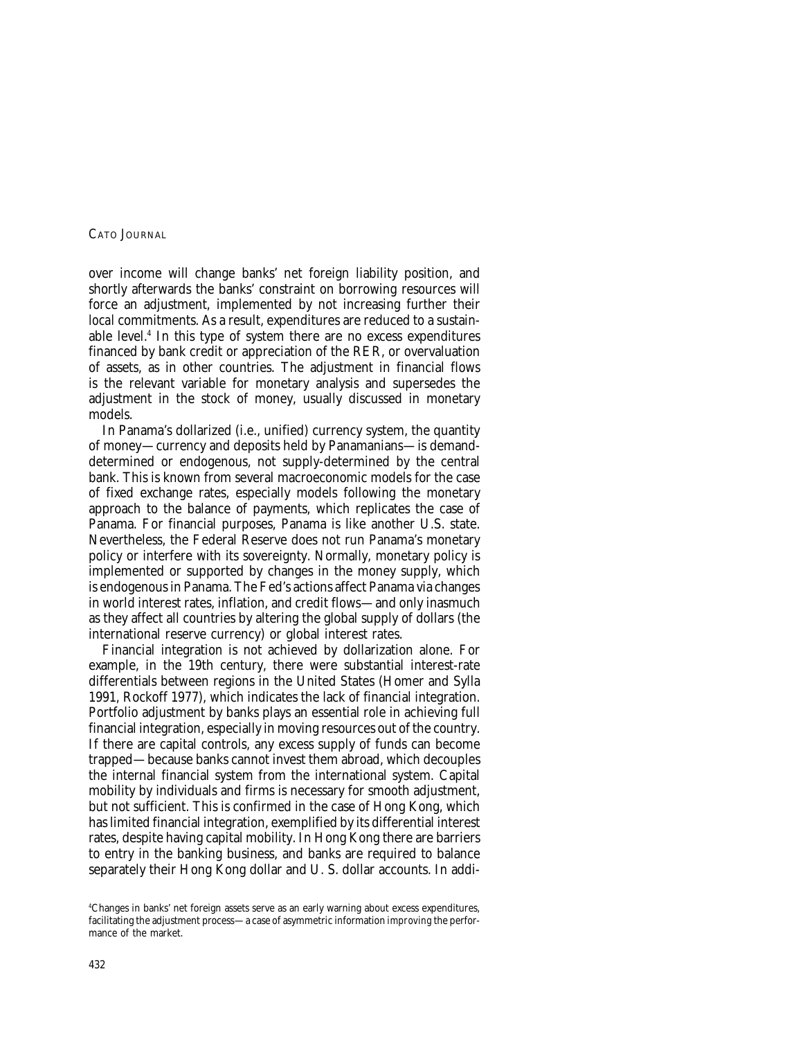over income will change banks' net foreign liability position, and shortly afterwards the banks' constraint on borrowing resources will force an adjustment, implemented by not increasing further their *local* commitments. As a result, expenditures are reduced to a sustainable level.4 In this type of system there are no excess expenditures financed by bank credit or appreciation of the RER, or overvaluation of assets, as in other countries. The adjustment in financial flows is the relevant variable for monetary analysis and supersedes the adjustment in the stock of money, usually discussed in monetary models.

In Panama's dollarized (i.e., unified) currency system, the quantity of money—currency and deposits held by Panamanians—is demanddetermined or endogenous, not supply-determined by the central bank. This is known from several macroeconomic models for the case of fixed exchange rates, especially models following the monetary approach to the balance of payments, which replicates the case of Panama. For financial purposes, Panama is like another U.S. state. Nevertheless, the Federal Reserve does not run Panama's monetary policy or interfere with its sovereignty. Normally, monetary policy is implemented or supported by changes in the money supply, which is endogenous in Panama. The Fed's actions affect Panama via changes in world interest rates, inflation, and credit flows—and only inasmuch as they affect all countries by altering the global supply of dollars (the international reserve currency) or global interest rates.

Financial integration is not achieved by dollarization alone. For example, in the 19th century, there were substantial interest-rate differentials between regions in the United States (Homer and Sylla 1991, Rockoff 1977), which indicates the lack of financial integration. Portfolio adjustment by banks plays an essential role in achieving full financial integration, especially in moving resources out of the country. If there are capital controls, any excess supply of funds can become trapped—because banks cannot invest them abroad, which decouples the internal financial system from the international system. Capital mobility by individuals and firms is necessary for smooth adjustment, but not sufficient. This is confirmed in the case of Hong Kong, which has limited financial integration, exemplified by its differential interest rates, despite having capital mobility. In Hong Kong there are barriers to entry in the banking business, and banks are required to balance separately their Hong Kong dollar and U.S. dollar accounts. In addi-

<sup>4</sup> Changes in banks' net foreign assets serve as an early warning about excess expenditures, facilitating the adjustment process—a case of asymmetric information *improving* the performance of the market.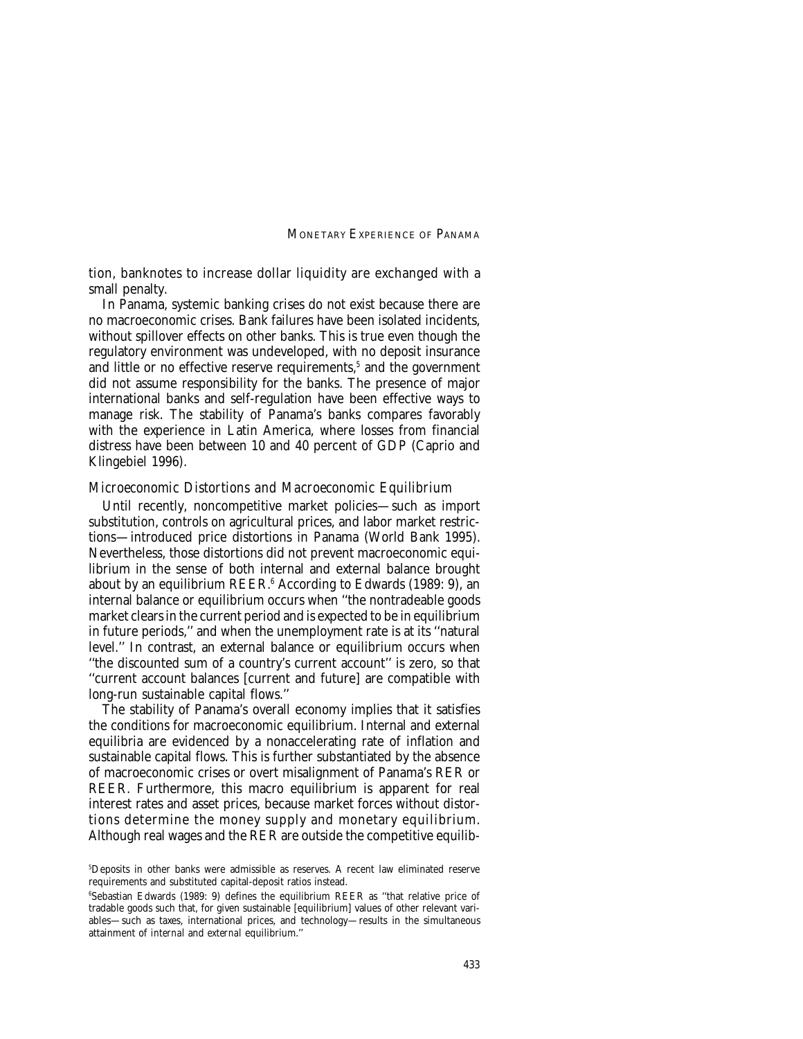tion, banknotes to increase dollar liquidity are exchanged with a small penalty.

In Panama, systemic banking crises do not exist because there are no macroeconomic crises. Bank failures have been isolated incidents, without spillover effects on other banks. This is true even though the regulatory environment was undeveloped, with no deposit insurance and little or no effective reserve requirements,<sup>5</sup> and the government did not assume responsibility for the banks. The presence of major international banks and self-regulation have been effective ways to manage risk. The stability of Panama's banks compares favorably with the experience in Latin America, where losses from financial distress have been between 10 and 40 percent of GDP (Caprio and Klingebiel 1996).

#### *Microeconomic Distortions and Macroeconomic Equilibrium*

Until recently, noncompetitive market policies—such as import substitution, controls on agricultural prices, and labor market restrictions—introduced price distortions in Panama (World Bank 1995). Nevertheless, those distortions did not prevent macroeconomic equilibrium in the sense of both internal and external balance brought about by an equilibrium REER.<sup>6</sup> According to Edwards (1989: 9), an internal balance or equilibrium occurs when ''the nontradeable goods market clears in the current period and is expected to be in equilibrium in future periods,'' and when the unemployment rate is at its ''natural level.'' In contrast, an external balance or equilibrium occurs when ''the discounted sum of a country's current account'' is zero, so that ''current account balances [current and future] are compatible with long-run sustainable capital flows.''

The stability of Panama's overall economy implies that it satisfies the conditions for macroeconomic equilibrium. Internal and external equilibria are evidenced by a nonaccelerating rate of inflation and sustainable capital flows. This is further substantiated by the absence of macroeconomic crises or overt misalignment of Panama's RER or REER. Furthermore, this macro equilibrium is apparent for real interest rates and asset prices, because market forces without distortions determine the money supply and monetary equilibrium. Although real wages and the RER are outside the competitive equilib-

<sup>5</sup> Deposits in other banks were admissible as reserves. A recent law eliminated reserve requirements and substituted capital-deposit ratios instead.

<sup>6</sup> Sebastian Edwards (1989: 9) defines the equilibrium REER as ''that relative price of tradable goods such that, for given sustainable [equilibrium] values of other relevant variables—such as taxes, international prices, and technology—results in the simultaneous attainment of *internal* and *external* equilibrium.''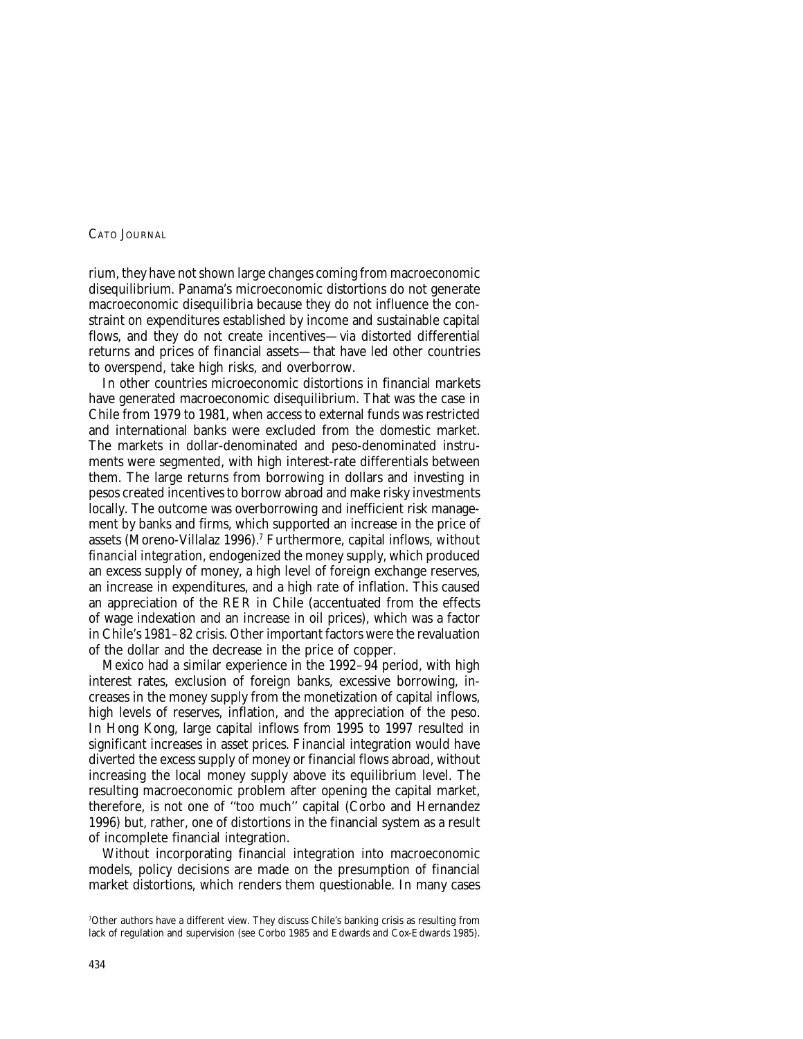rium, they have not shown large changes coming from macroeconomic disequilibrium. Panama's microeconomic distortions do not generate macroeconomic disequilibria because they do not influence the constraint on expenditures established by income and sustainable capital flows, and they do not create incentives—via distorted differential returns and prices of financial assets—that have led other countries to overspend, take high risks, and overborrow.

In other countries microeconomic distortions in financial markets have generated macroeconomic disequilibrium. That was the case in Chile from 1979 to 1981, when access to external funds was restricted and international banks were excluded from the domestic market. The markets in dollar-denominated and peso-denominated instruments were segmented, with high interest-rate differentials between them. The large returns from borrowing in dollars and investing in pesos created incentives to borrow abroad and make risky investments locally. The outcome was overborrowing and inefficient risk management by banks and firms, which supported an increase in the price of assets (Moreno-Villalaz 1996).7 Furthermore, capital inflows, *without financial integration,* endogenized the money supply, which produced an excess supply of money, a high level of foreign exchange reserves, an increase in expenditures, and a high rate of inflation. This caused an appreciation of the RER in Chile (accentuated from the effects of wage indexation and an increase in oil prices), which was a factor in Chile's 1981–82 crisis. Other important factors were the revaluation of the dollar and the decrease in the price of copper.

Mexico had a similar experience in the 1992–94 period, with high interest rates, exclusion of foreign banks, excessive borrowing, increases in the money supply from the monetization of capital inflows, high levels of reserves, inflation, and the appreciation of the peso. In Hong Kong, large capital inflows from 1995 to 1997 resulted in significant increases in asset prices. Financial integration would have diverted the excess supply of money or financial flows abroad, without increasing the local money supply above its equilibrium level. The resulting macroeconomic problem after opening the capital market, resulting macroeconomic problem atter opening the capital market,<br>therefore, is not one of ''too much'' capital (Corbo and Hernandez 1996) but, rather, one of distortions in the financial system as a result of incomplete financial integration.

Without incorporating financial integration into macroeconomic models, policy decisions are made on the presumption of financial market distortions, which renders them questionable. In many cases

<sup>7</sup> Other authors have a different view. They discuss Chile's banking crisis as resulting from lack of regulation and supervision (see Corbo 1985 and Edwards and Cox-Edwards 1985).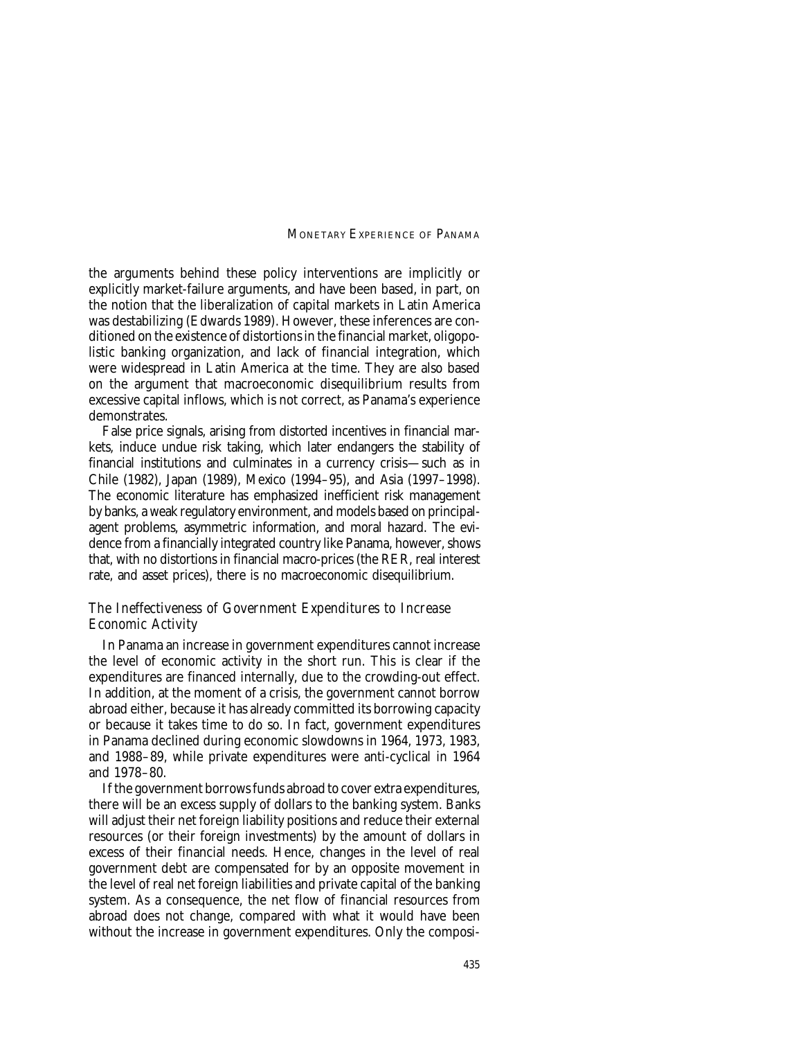the arguments behind these policy interventions are implicitly or explicitly market-failure arguments, and have been based, in part, on the notion that the liberalization of capital markets in Latin America was destabilizing (Edwards 1989). However, these inferences are conditioned on the existence of distortions in the financial market, oligopolistic banking organization, and lack of financial integration, which were widespread in Latin America at the time. They are also based on the argument that macroeconomic disequilibrium results from excessive capital inflows, which is not correct, as Panama's experience demonstrates.

False price signals, arising from distorted incentives in financial markets, induce undue risk taking, which later endangers the stability of financial institutions and culminates in a currency crisis—such as in Chile (1982), Japan (1989), Mexico (1994–95), and Asia (1997–1998). The economic literature has emphasized inefficient risk management by banks, a weak regulatory environment, and models based on principalagent problems, asymmetric information, and moral hazard. The evidence from a financially integrated country like Panama, however, shows that, with no distortions in financial macro-prices (the RER, real interest rate, and asset prices), there is no macroeconomic disequilibrium.

### *The Ineffectiveness of Government Expenditures to Increase Economic Activity*

In Panama an increase in government expenditures cannot increase the level of economic activity in the short run. This is clear if the expenditures are financed internally, due to the crowding-out effect. In addition, at the moment of a crisis, the government cannot borrow abroad either, because it has already committed its borrowing capacity or because it takes time to do so. In fact, government expenditures in Panama declined during economic slowdowns in 1964, 1973, 1983, and 1988–89, while private expenditures were anti-cyclical in 1964 and 1978–80.

If the government borrows funds abroad to cover extra expenditures, there will be an excess supply of dollars to the banking system. Banks will adjust their net foreign liability positions and reduce their external resources (or their foreign investments) by the amount of dollars in excess of their financial needs. Hence, changes in the level of real government debt are compensated for by an opposite movement in the level of real net foreign liabilities and private capital of the banking system. As a consequence, the net flow of financial resources from abroad does not change, compared with what it would have been without the increase in government expenditures. Only the composi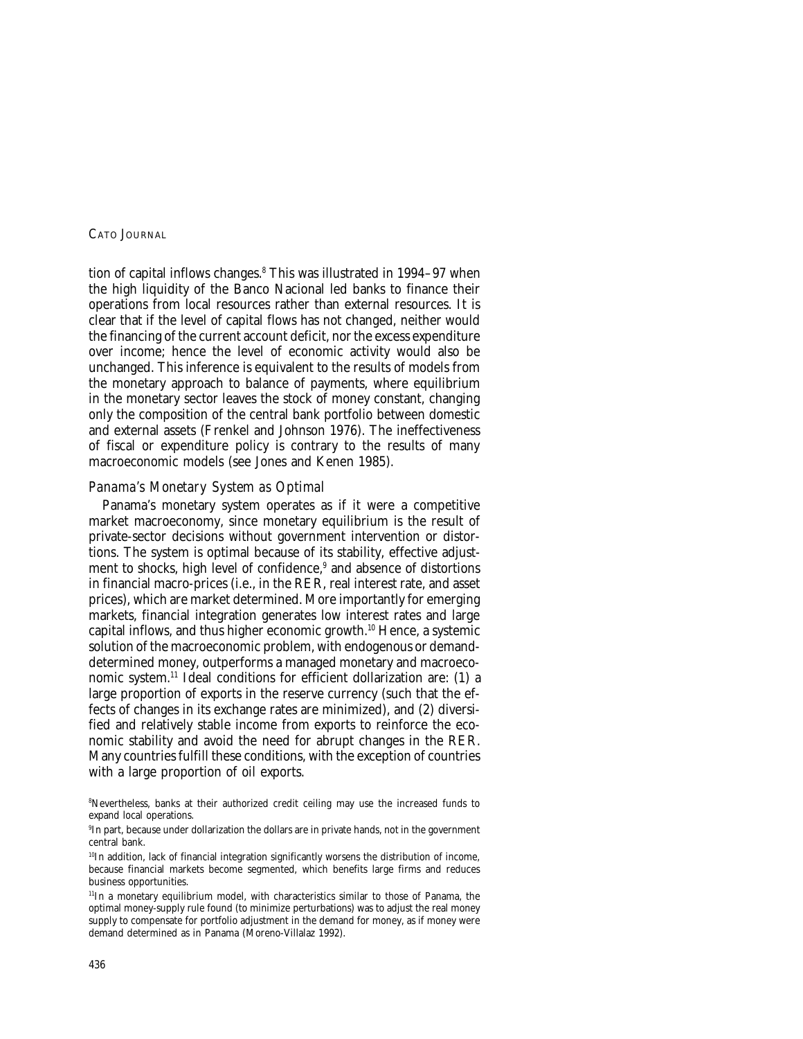tion of capital inflows changes.<sup>8</sup> This was illustrated in 1994–97 when the high liquidity of the Banco Nacional led banks to finance their operations from local resources rather than external resources. It is clear that if the level of capital flows has not changed, neither would the financing of the current account deficit, nor the excess expenditure over income; hence the level of economic activity would also be unchanged. This inference is equivalent to the results of models from the monetary approach to balance of payments, where equilibrium in the monetary sector leaves the stock of money constant, changing only the composition of the central bank portfolio between domestic and external assets (Frenkel and Johnson 1976). The ineffectiveness of fiscal or expenditure policy is contrary to the results of many macroeconomic models (see Jones and Kenen 1985).

## *Panama's Monetary System as Optimal*

Panama's monetary system operates as if it were a competitive market macroeconomy, since monetary equilibrium is the result of private-sector decisions without government intervention or distortions. The system is optimal because of its stability, effective adjustment to shocks, high level of confidence,<sup>9</sup> and absence of distortions in financial macro-prices (i.e., in the RER, real interest rate, and asset prices), which are market determined. More importantly for emerging markets, financial integration generates low interest rates and large capital inflows, and thus higher economic growth.<sup>10</sup> Hence, a systemic solution of the macroeconomic problem, with endogenous or demanddetermined money, outperforms a managed monetary and macroeconomic system.11 Ideal conditions for efficient dollarization are: (1) a large proportion of exports in the reserve currency (such that the effects of changes in its exchange rates are minimized), and (2) diversified and relatively stable income from exports to reinforce the economic stability and avoid the need for abrupt changes in the RER. Many countries fulfill these conditions, with the exception of countries with a large proportion of oil exports.

8 Nevertheless, banks at their authorized credit ceiling may use the increased funds to expand local operations.

9 In part, because under dollarization the dollars are in private hands, not in the government central bank.

<sup>10</sup>In addition, lack of financial integration significantly worsens the distribution of income, because financial markets become segmented, which benefits large firms and reduces business opportunities.

<sup>11</sup>In a monetary equilibrium model, with characteristics similar to those of Panama, the optimal money-supply rule found (to minimize perturbations) was to adjust the real money supply to compensate for portfolio adjustment in the demand for money, as if money were demand determined as in Panama (Moreno-Villalaz 1992).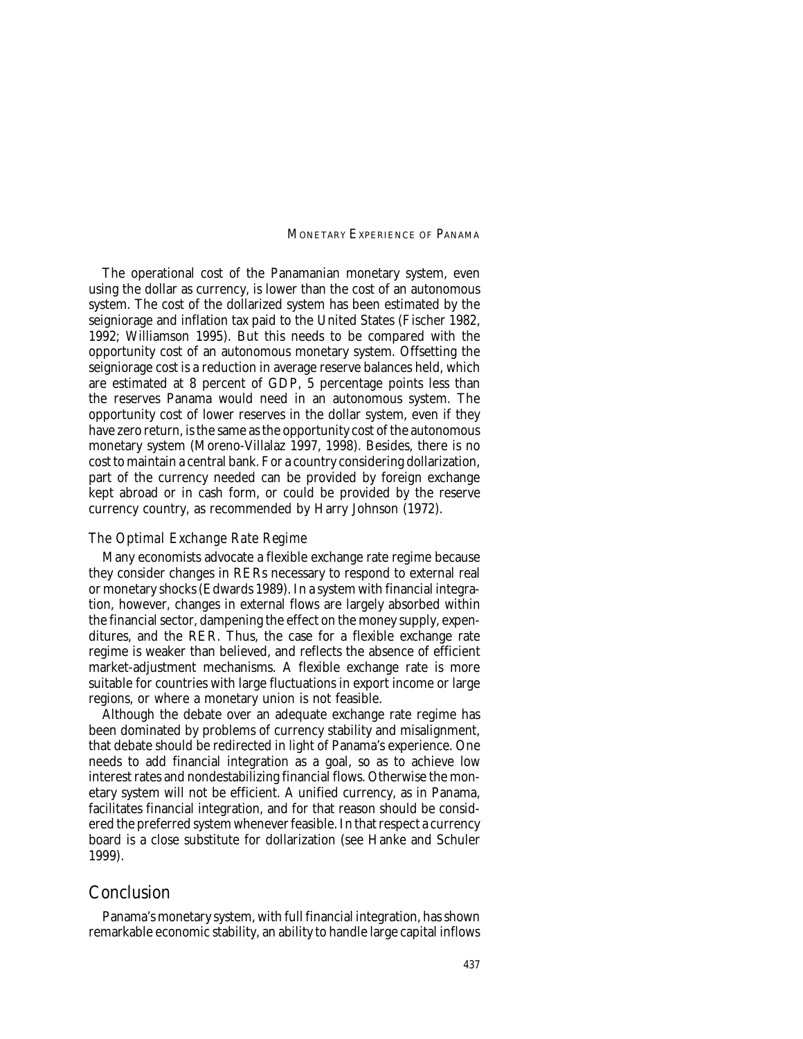The operational cost of the Panamanian monetary system, even using the dollar as currency, is lower than the cost of an autonomous system. The cost of the dollarized system has been estimated by the seigniorage and inflation tax paid to the United States (Fischer 1982, 1992; Williamson 1995). But this needs to be compared with the opportunity cost of an autonomous monetary system. Offsetting the seigniorage cost is a reduction in average reserve balances held, which are estimated at 8 percent of GDP, 5 percentage points less than the reserves Panama would need in an autonomous system. The opportunity cost of lower reserves in the dollar system, even if they have zero return, is the same as the opportunity cost of the autonomous monetary system (Moreno-Villalaz 1997, 1998). Besides, there is no cost to maintain a central bank. For a country considering dollarization, part of the currency needed can be provided by foreign exchange kept abroad or in cash form, or could be provided by the reserve currency country, as recommended by Harry Johnson (1972).

#### *The Optimal Exchange Rate Regime*

Many economists advocate a flexible exchange rate regime because they consider changes in RERs necessary to respond to external real or monetary shocks (Edwards 1989). In a system with financial integration, however, changes in external flows are largely absorbed within the financial sector, dampening the effect on the money supply, expenditures, and the RER. Thus, the case for a flexible exchange rate regime is weaker than believed, and reflects the absence of efficient market-adjustment mechanisms. A flexible exchange rate is more suitable for countries with large fluctuations in export income or large regions, or where a monetary union is not feasible.

Although the debate over an adequate exchange rate regime has been dominated by problems of currency stability and misalignment, that debate should be redirected in light of Panama's experience. One needs to add financial integration as a goal, so as to achieve low interest rates and nondestabilizing financial flows. Otherwise the monetary system will not be efficient. A unified currency, as in Panama, facilitates financial integration, and for that reason should be considered the preferred system whenever feasible. In that respect a currency board is a close substitute for dollarization (see Hanke and Schuler 1999).

## Conclusion

Panama's monetary system, with full financial integration, has shown remarkable economic stability, an ability to handle large capital inflows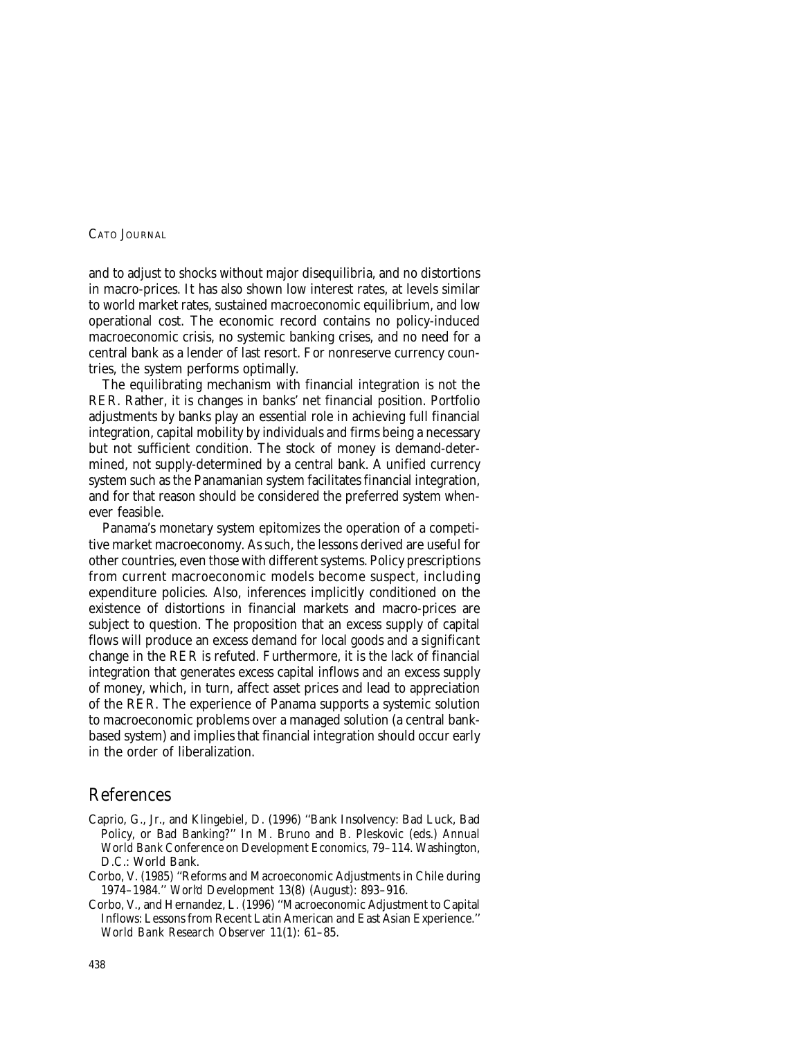and to adjust to shocks without major disequilibria, and no distortions in macro-prices. It has also shown low interest rates, at levels similar to world market rates, sustained macroeconomic equilibrium, and low operational cost. The economic record contains no policy-induced macroeconomic crisis, no systemic banking crises, and no need for a central bank as a lender of last resort. For nonreserve currency countries, the system performs optimally.

The equilibrating mechanism with financial integration is not the RER. Rather, it is changes in banks' net financial position. Portfolio adjustments by banks play an essential role in achieving full financial integration, capital mobility by individuals and firms being a necessary but not sufficient condition. The stock of money is demand-determined, not supply-determined by a central bank. A unified currency system such as the Panamanian system facilitates financial integration, and for that reason should be considered the preferred system whenever feasible.

Panama's monetary system epitomizes the operation of a competitive market macroeconomy. As such, the lessons derived are useful for other countries, even those with different systems. Policy prescriptions from current macroeconomic models become suspect, including expenditure policies. Also, inferences implicitly conditioned on the existence of distortions in financial markets and macro-prices are subject to question. The proposition that an excess supply of capital flows will produce an excess demand for local goods and a *significant* change in the RER is refuted. Furthermore, it is the lack of financial integration that generates excess capital inflows and an excess supply of money, which, in turn, affect asset prices and lead to appreciation of the RER. The experience of Panama supports a systemic solution to macroeconomic problems over a managed solution (a central bankbased system) and implies that financial integration should occur early in the order of liberalization.

## References

- Caprio, G., Jr., and Klingebiel, D. (1996) ''Bank Insolvency: Bad Luck, Bad Policy, or Bad Banking?'' In M. Bruno and B. Pleskovic (eds.) *Annual World Bank Conference on Development Economics,* 79–114. Washington, D.C.: World Bank.
- Corbo, V. (1985) ''Reforms and Macroeconomic Adjustments in Chile during 1974–1984.'' *World Development* 13(8) (August): 893–916.
- 1974–1984. *``World Development* 13(8) (August): 893–916.<br>Corbo, V., and Hernandez, L. (1996) '`Macroeconomic Adjustment to Capital Inflows: Lessons from Recent Latin American and East Asian Experience.'' *World Bank Research Observer* 11(1): 61–85.